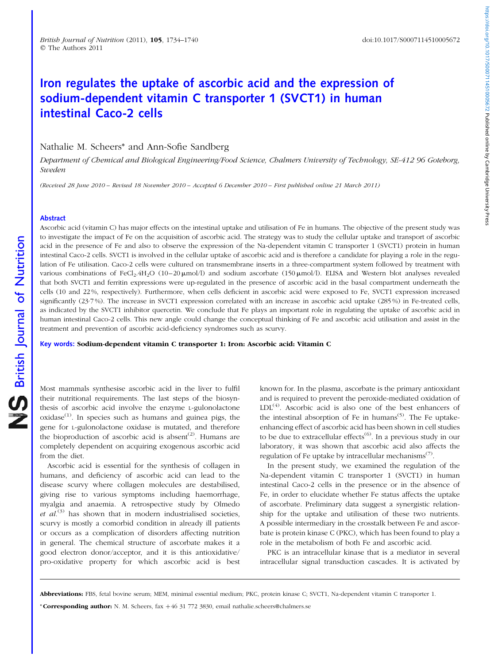# Iron regulates the uptake of ascorbic acid and the expression of sodium-dependent vitamin C transporter 1 (SVCT1) in human intestinal Caco-2 cells

Nathalie M. Scheers\* and Ann-Sofie Sandberg

Department of Chemical and Biological Engineering/Food Science, Chalmers University of Technology, SE-412 96 Goteborg, Sweden

(Received 28 June 2010 – Revised 18 November 2010 – Accepted 6 December 2010 – First published online 21 March 2011)

# Abstract

Ascorbic acid (vitamin C) has major effects on the intestinal uptake and utilisation of Fe in humans. The objective of the present study was to investigate the impact of Fe on the acquisition of ascorbic acid. The strategy was to study the cellular uptake and transport of ascorbic acid in the presence of Fe and also to observe the expression of the Na-dependent vitamin C transporter 1 (SVCT1) protein in human intestinal Caco-2 cells. SVCT1 is involved in the cellular uptake of ascorbic acid and is therefore a candidate for playing a role in the regulation of Fe utilisation. Caco-2 cells were cultured on transmembrane inserts in a three-compartment system followed by treatment with various combinations of FeCl<sub>2</sub>.4H<sub>2</sub>O (10–20  $\mu$ mol/l) and sodium ascorbate (150  $\mu$ mol/l). ELISA and Western blot analyses revealed that both SVCT1 and ferritin expressions were up-regulated in the presence of ascorbic acid in the basal compartment underneath the cells (10 and 22 %, respectively). Furthermore, when cells deficient in ascorbic acid were exposed to Fe, SVCT1 expression increased significantly (23.7%). The increase in SVCT1 expression correlated with an increase in ascorbic acid uptake (285%) in Fe-treated cells, as indicated by the SVCT1 inhibitor quercetin. We conclude that Fe plays an important role in regulating the uptake of ascorbic acid in human intestinal Caco-2 cells. This new angle could change the conceptual thinking of Fe and ascorbic acid utilisation and assist in the treatment and prevention of ascorbic acid-deficiency syndromes such as scurvy.

Key words: Sodium-dependent vitamin C transporter 1: Iron: Ascorbic acid: Vitamin C

Most mammals synthesise ascorbic acid in the liver to fulfil their nutritional requirements. The last steps of the biosynthesis of ascorbic acid involve the enzyme L-gulonolactone  $oxidase<sup>(1)</sup>$ . In species such as humans and guinea pigs, the gene for L-gulonolactone oxidase is mutated, and therefore the bioproduction of ascorbic acid is absent<sup>(2)</sup>. Humans are completely dependent on acquiring exogenous ascorbic acid from the diet.

Ascorbic acid is essential for the synthesis of collagen in humans, and deficiency of ascorbic acid can lead to the disease scurvy where collagen molecules are destabilised, giving rise to various symptoms including haemorrhage, myalgia and anaemia. A retrospective study by Olmedo et  $al^{(3)}$  has shown that in modern industrialised societies, scurvy is mostly a comorbid condition in already ill patients or occurs as a complication of disorders affecting nutrition in general. The chemical structure of ascorbate makes it a good electron donor/acceptor, and it is this antioxidative/ pro-oxidative property for which ascorbic acid is best

known for. In the plasma, ascorbate is the primary antioxidant and is required to prevent the peroxide-mediated oxidation of  $LDL<sup>(4)</sup>$ . Ascorbic acid is also one of the best enhancers of the intestinal absorption of Fe in humans<sup>(5)</sup>. The Fe uptakeenhancing effect of ascorbic acid has been shown in cell studies to be due to extracellular effects<sup> $(6)$ </sup>. In a previous study in our laboratory, it was shown that ascorbic acid also affects the regulation of Fe uptake by intracellular mechanisms<sup> $(7)$ </sup>.

In the present study, we examined the regulation of the Na-dependent vitamin C transporter 1 (SVCT1) in human intestinal Caco-2 cells in the presence or in the absence of Fe, in order to elucidate whether Fe status affects the uptake of ascorbate. Preliminary data suggest a synergistic relationship for the uptake and utilisation of these two nutrients. A possible intermediary in the crosstalk between Fe and ascorbate is protein kinase C (PKC), which has been found to play a role in the metabolism of both Fe and ascorbic acid.

PKC is an intracellular kinase that is a mediator in several intracellular signal transduction cascades. It is activated by

\* Corresponding author: N. M. Scheers,  $fax + 46$  31 772 3830, email nathalie.scheers@chalmers.se

Abbreviations: FBS, fetal bovine serum; MEM, minimal essential medium; PKC, protein kinase C; SVCT1, Na-dependent vitamin C transporter 1.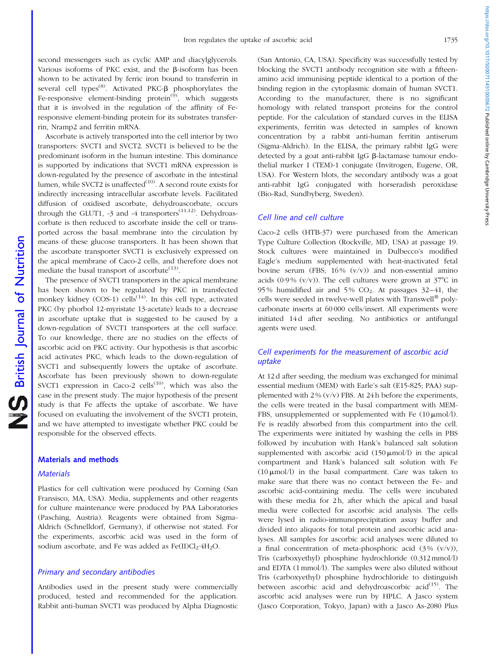second messengers such as cyclic AMP and diacylglycerols. Various isoforms of PKC exist, and the  $\beta$ -isoform has been shown to be activated by ferric iron bound to transferrin in several cell types<sup>(8)</sup>. Activated PKC- $\beta$  phosphorylates the Fe-responsive element-binding protein $^{(9)}$ , which suggests that it is involved in the regulation of the affinity of Feresponsive element-binding protein for its substrates transferrin, Nramp2 and ferritin mRNA.

Ascorbate is actively transported into the cell interior by two transporters: SVCT1 and SVCT2. SVCT1 is believed to be the predominant isoform in the human intestine. This dominance is supported by indications that SVCT1 mRNA expression is down-regulated by the presence of ascorbate in the intestinal lumen, while SVCT2 is unaffected $(10)$ . A second route exists for indirectly increasing intracellular ascorbate levels. Facilitated diffusion of oxidised ascorbate, dehydroascorbate, occurs through the GLUT1,  $-3$  and  $-4$  transporters<sup> $(11,12)$ </sup>. Dehydroascorbate is then reduced to ascorbate inside the cell or transported across the basal membrane into the circulation by means of these glucose transporters. It has been shown that the ascorbate transporter SVCT1 is exclusively expressed on the apical membrane of Caco-2 cells, and therefore does not mediate the basal transport of ascorbate<sup> $(13)$ </sup>.

The presence of SVCT1 transporters in the apical membrane has been shown to be regulated by PKC in transfected monkey kidney (COS-1) cells<sup> $(14)$ </sup>. In this cell type, activated PKC (by phorbol 12-myristate 13-acetate) leads to a decrease in ascorbate uptake that is suggested to be caused by a down-regulation of SVCT1 transporters at the cell surface. To our knowledge, there are no studies on the effects of ascorbic acid on PKC activity. Our hypothesis is that ascorbic acid activates PKC, which leads to the down-regulation of SVCT1 and subsequently lowers the uptake of ascorbate. Ascorbate has been previously shown to down-regulate SVCT1 expression in Caco-2 cells $^{(10)}$ , which was also the case in the present study. The major hypothesis of the present study is that Fe affects the uptake of ascorbate. We have focused on evaluating the involvement of the SVCT1 protein, and we have attempted to investigate whether PKC could be responsible for the observed effects.

# Materials and methods

#### **Materials**

Plastics for cell cultivation were produced by Corning (San Fransisco, MA, USA). Media, supplements and other reagents for culture maintenance were produced by PAA Laboratories (Pasching, Austria). Reagents were obtained from Sigma-Aldrich (Schnelldorf, Germany), if otherwise not stated. For the experiments, ascorbic acid was used in the form of sodium ascorbate, and Fe was added as  $Fe(II)Cl<sub>2</sub>·4H<sub>2</sub>O$ .

# Primary and secondary antibodies

Antibodies used in the present study were commercially produced, tested and recommended for the application. Rabbit anti-human SVCT1 was produced by Alpha Diagnostic

(San Antonio, CA, USA). Specificity was successfully tested by blocking the SVCT1 antibody recognition site with a fifteenamino acid immunising peptide identical to a portion of the binding region in the cytoplasmic domain of human SVCT1. According to the manufacturer, there is no significant homology with related transport proteins for the control peptide. For the calculation of standard curves in the ELISA experiments, ferritin was detected in samples of known concentration by a rabbit anti-human ferritin antiserum (Sigma-Aldrich). In the ELISA, the primary rabbit IgG were detected by a goat anti-rabbit IgG  $\beta$ -lactamase tumour endothelial marker 1 (TEM)-1 conjugate (Invitrogen, Eugene, OR, USA). For Western blots, the secondary antibody was a goat anti-rabbit IgG conjugated with horseradish peroxidase (Bio-Rad, Sundbyberg, Sweden).

# Cell line and cell culture

Caco-2 cells (HTB-37) were purchased from the American Type Culture Collection (Rockville, MD, USA) at passage 19. Stock cultures were maintained in Dulbecco's modified Eagle's medium supplemented with heat-inactivated fetal bovine serum (FBS;  $16\%$  (v/v)) and non-essential amino acids (0.9%  $(v/v)$ ). The cell cultures were grown at  $37^{\circ}$ C in 95% humidified air and 5%  $CO<sub>2</sub>$ . At passages 32–41, the cells were seeded in twelve-well plates with Transwell<sup>®</sup> polycarbonate inserts at 60 000 cells/insert. All experiments were initiated 14 d after seeding. No antibiotics or antifungal agents were used.

# Cell experiments for the measurement of ascorbic acid uptake

At 12 d after seeding, the medium was exchanged for minimal essential medium (MEM) with Earle's salt (E15-825; PAA) supplemented with  $2\%$  (v/v) FBS. At 24 h before the experiments, the cells were treated in the basal compartment with MEM-FBS, unsupplemented or supplemented with Fe  $(10 \mu \text{mol/l})$ . Fe is readily absorbed from this compartment into the cell. The experiments were initiated by washing the cells in PBS followed by incubation with Hank's balanced salt solution supplemented with ascorbic acid  $(150 \,\mu\text{mol/l})$  in the apical compartment and Hank's balanced salt solution with Fe  $(10 \mu \text{mol/l})$  in the basal compartment. Care was taken to make sure that there was no contact between the Fe- and ascorbic acid-containing media. The cells were incubated with these media for 2h, after which the apical and basal media were collected for ascorbic acid analysis. The cells were lysed in radio-immunoprecipitation assay buffer and divided into aliquots for total protein and ascorbic acid analyses. All samples for ascorbic acid analyses were diluted to a final concentration of meta-phosphoric acid  $(3\% (v/v))$ , Tris (carboxyethyl) phosphine hydrochloride (0.312 mmol/l) and EDTA (1 mmol/l). The samples were also diluted without Tris (carboxyethyl) phosphine hydrochloride to distinguish between ascorbic acid and dehydroascorbic acid $(15)$ . The ascorbic acid analyses were run by HPLC. A Jasco system (Jasco Corporation, Tokyo, Japan) with a Jasco As-2080 Plus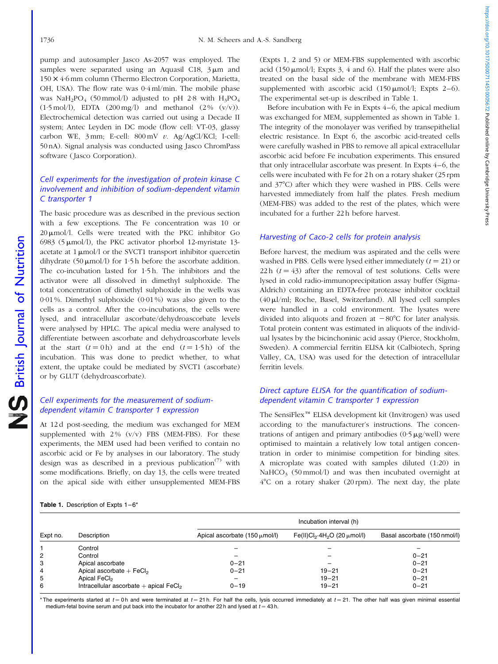<span id="page-2-0"></span>pump and autosampler Jasco As-2057 was employed. The samples were separated using an Aquasil C18,  $3 \mu m$  and 150 *£* 4·6 mm column (Thermo Electron Corporation, Marietta, OH, USA). The flow rate was 0·4 ml/min. The mobile phase was NaH<sub>2</sub>PO<sub>4</sub> (50 mmol/l) adjusted to pH 2·8 with  $H_3PO_4$  $(1.5 \text{ mol/l})$ , EDTA  $(200 \text{ mg/l})$  and methanol  $(2\% (v/v))$ . Electrochemical detection was carried out using a Decade II system; Antec Leyden in DC mode (flow cell: VT-03, glassy carbon WE, 3 mm; E-cell: 800 mV v. Ag/AgCl/KCl; I-cell: 50 nA). Signal analysis was conducted using Jasco ChromPass software (Jasco Corporation).

# Cell experiments for the investigation of protein kinase C involvement and inhibition of sodium-dependent vitamin C transporter 1

The basic procedure was as described in the previous section with a few exceptions. The Fe concentration was 10 or 20  $\mu$ mol/l. Cells were treated with the PKC inhibitor Go 6983 (5  $\mu$ mol/l), the PKC activator phorbol 12-myristate 13acetate at  $1 \mu \text{mol}/l$  or the SVCT1 transport inhibitor quercetin dihydrate (50  $\mu$ mol/l) for 1·5 h before the ascorbate addition. The co-incubation lasted for 1·5 h. The inhibitors and the activator were all dissolved in dimethyl sulphoxide. The total concentration of dimethyl sulphoxide in the wells was 0·01 %. Dimethyl sulphoxide (0·01 %) was also given to the cells as a control. After the co-incubations, the cells were lysed, and intracellular ascorbate/dehydroascorbate levels were analysed by HPLC. The apical media were analysed to differentiate between ascorbate and dehydroascorbate levels at the start  $(t = 0 h)$  and at the end  $(t = 1.5 h)$  of the incubation. This was done to predict whether, to what extent, the uptake could be mediated by SVCT1 (ascorbate) or by GLUT (dehydroascorbate).

# Cell experiments for the measurement of sodiumdependent vitamin C transporter 1 expression

At 12 d post-seeding, the medium was exchanged for MEM supplemented with  $2\%$  (v/v) FBS (MEM-FBS). For these experiments, the MEM used had been verified to contain no ascorbic acid or Fe by analyses in our laboratory. The study design was as described in a previous publication<sup> $(7)$ </sup> with some modifications. Briefly, on day 13, the cells were treated on the apical side with either unsupplemented MEM-FBS

(Expts 1, 2 and 5) or MEM-FBS supplemented with ascorbic acid (150  $\mu$ mol/l; Expts 3, 4 and 6). Half the plates were also treated on the basal side of the membrane with MEM-FBS supplemented with ascorbic acid  $(150 \,\text{\mu} \text{mol/l}; \text{Expts } 2-6)$ . The experimental set-up is described in Table 1.

Before incubation with Fe in Expts 4–6, the apical medium was exchanged for MEM, supplemented as shown in Table 1. The integrity of the monolayer was verified by transepithelial electric resistance. In Expt 6, the ascorbic acid-treated cells were carefully washed in PBS to remove all apical extracellular ascorbic acid before Fe incubation experiments. This ensured that only intracellular ascorbate was present. In Expts 4–6, the cells were incubated with Fe for 2 h on a rotary shaker (25 rpm and 37°C) after which they were washed in PBS. Cells were harvested immediately from half the plates. Fresh medium (MEM-FBS) was added to the rest of the plates, which were incubated for a further 22 h before harvest.

# Harvesting of Caco-2 cells for protein analysis

Before harvest, the medium was aspirated and the cells were washed in PBS. Cells were lysed either immediately  $(t = 21)$  or 22 h  $(t = 43)$  after the removal of test solutions. Cells were lysed in cold radio-immunoprecipitation assay buffer (Sigma-Aldrich) containing an EDTA-free protease inhibitor cocktail (40ml/ml; Roche, Basel, Switzerland). All lysed cell samples were handled in a cold environment. The lysates were divided into aliquots and frozen at  $-80^{\circ}$ C for later analysis. Total protein content was estimated in aliquots of the individual lysates by the bicinchoninic acid assay (Pierce, Stockholm, Sweden). A commercial ferritin ELISA kit (Calbiotech, Spring Valley, CA, USA) was used for the detection of intracellular ferritin levels.

# Direct capture ELISA for the quantification of sodiumdependent vitamin C transporter 1 expression

The SensiFlex<sup>™</sup> ELISA development kit (Invitrogen) was used according to the manufacturer's instructions. The concentrations of antigen and primary antibodies  $(0.5 \mu g/well)$  were optimised to maintain a relatively low total antigen concentration in order to minimise competition for binding sites. A microplate was coated with samples diluted (1:20) in NaHCO<sub>3</sub> (50 mmol/l) and was then incubated overnight at  $4^{\circ}$ C on a rotary shaker (20 rpm). The next day, the plate

| Table 1. Description of Expts 1-6* |  |  |
|------------------------------------|--|--|

|          | Description                                          | Incubation interval (h)                   |                                                           |                              |  |
|----------|------------------------------------------------------|-------------------------------------------|-----------------------------------------------------------|------------------------------|--|
| Expt no. |                                                      | Apical ascorbate $(150 \mu \text{mol/l})$ | Fe(II)Cl <sub>2</sub> .4H <sub>2</sub> O (20 $\mu$ mol/I) | Basal ascorbate (150 nmol/l) |  |
|          | Control                                              |                                           |                                                           |                              |  |
| 2        | Control                                              |                                           |                                                           | $0 - 21$                     |  |
| 3        | Apical ascorbate                                     | $0 - 21$                                  |                                                           | $0 - 21$                     |  |
| 4        | Apical ascorbate $+$ FeCl <sub>2</sub>               | $0 - 21$                                  | $19 - 21$                                                 | $0 - 21$                     |  |
| 5        | Apical FeCl <sub>2</sub>                             |                                           | $19 - 21$                                                 | $0 - 21$                     |  |
| 6        | Intracellular ascorbate $+$ apical FeCl <sub>2</sub> | $0 - 19$                                  | $19 - 21$                                                 | $0 - 21$                     |  |

\* The experiments started at  $t = 0$ h and were terminated at  $t = 21$  h. For half the cells, lysis occurred immediately at  $t = 21$ . The other half was given minimal essential medium-fetal bovine serum and put back into the incubator for another 22 h and lysed at  $t = 43$  h.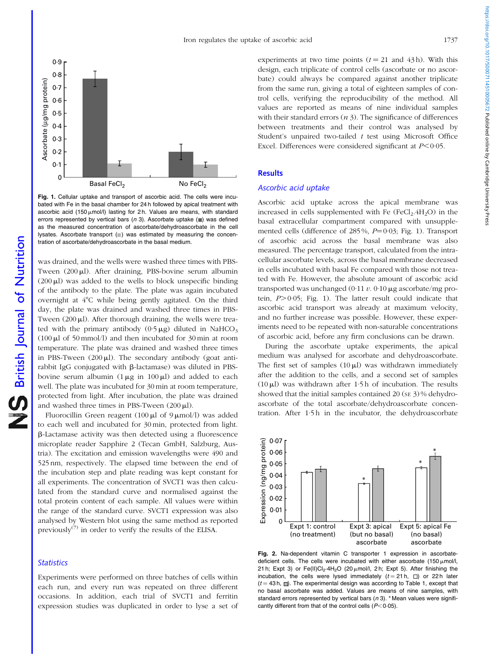<span id="page-3-0"></span>

Fig. 1. Cellular uptake and transport of ascorbic acid. The cells were incubated with Fe in the basal chamber for 24 h followed by apical treatment with ascorbic acid (150  $\mu$ mol/l) lasting for 2 h. Values are means, with standard errors represented by vertical bars ( $n$  3). Ascorbate uptake ( $\blacksquare$ ) was defined as the measured concentration of ascorbate/dehydroascorbate in the cell lysates. Ascorbate transport  $(\blacksquare)$  was estimated by measuring the concentration of ascorbate/dehydroascorbate in the basal medium.

was drained, and the wells were washed three times with PBS-Tween  $(200 \mu l)$ . After draining, PBS-bovine serum albumin  $(200 \mu l)$  was added to the wells to block unspecific binding of the antibody to the plate. The plate was again incubated overnight at  $4^{\circ}$ C while being gently agitated. On the third day, the plate was drained and washed three times in PBS-Tween  $(200 \mu l)$ . After thorough draining, the wells were treated with the primary antibody  $(0.5 \mu g)$  diluted in NaHCO<sub>3</sub>  $(100 \mu l \text{ of } 50 \text{ mmol/l})$  and then incubated for 30 min at room temperature. The plate was drained and washed three times in PBS-Tween  $(200 \mu l)$ . The secondary antibody (goat antirabbit IgG conjugated with  $\beta$ -lactamase) was diluted in PBSbovine serum albumin  $(1 \mu g \text{ in } 100 \mu l)$  and added to each well. The plate was incubated for 30 min at room temperature, protected from light. After incubation, the plate was drained and washed three times in PBS-Tween  $(200 \,\mu\text{L})$ .

Fluorocillin Green reagent (100  $\mu$ l of 9  $\mu$ mol/l) was added to each well and incubated for 30 min, protected from light. b-Lactamase activity was then detected using a fluorescence microplate reader Sapphire 2 (Tecan GmbH, Salzburg, Austria). The excitation and emission wavelengths were 490 and 525 nm, respectively. The elapsed time between the end of the incubation step and plate reading was kept constant for all experiments. The concentration of SVCT1 was then calculated from the standard curve and normalised against the total protein content of each sample. All values were within the range of the standard curve. SVCT1 expression was also analysed by Western blot using the same method as reported previously<sup> $(7)$ </sup> in order to verify the results of the ELISA.

# **Statistics**

Experiments were performed on three batches of cells within each run, and every run was repeated on three different occasions. In addition, each trial of SVCT1 and ferritin expression studies was duplicated in order to lyse a set of experiments at two time points  $(t = 21$  and 43h). With this design, each triplicate of control cells (ascorbate or no ascorbate) could always be compared against another triplicate from the same run, giving a total of eighteen samples of control cells, verifying the reproducibility of the method. All values are reported as means of nine individual samples with their standard errors  $(n 3)$ . The significance of differences between treatments and their control was analysed by Student's unpaired two-tailed  $t$  test using Microsoft Office Excel. Differences were considered significant at  $P < 0.05$ .

# **Results**

# Ascorbic acid uptake

Ascorbic acid uptake across the apical membrane was increased in cells supplemented with Fe  $(FeCl<sub>2</sub>.4H<sub>2</sub>O)$  in the basal extracellular compartment compared with unsupplemented cells (difference of 285%,  $P=0.03$ ; Fig. 1). Transport of ascorbic acid across the basal membrane was also measured. The percentage transport, calculated from the intracellular ascorbate levels, across the basal membrane decreased in cells incubated with basal Fe compared with those not treated with Fe. However, the absolute amount of ascorbic acid transported was unchanged (0.11  $v$ . 0.10  $\mu$ g ascorbate/mg protein,  $P > 0.05$ ; Fig. 1). The latter result could indicate that ascorbic acid transport was already at maximum velocity, and no further increase was possible. However, these experiments need to be repeated with non-saturable concentrations of ascorbic acid, before any firm conclusions can be drawn.

During the ascorbate uptake experiments, the apical medium was analysed for ascorbate and dehydroascorbate. The first set of samples  $(10 \mu)$  was withdrawn immediately after the addition to the cells, and a second set of samples (10 $\mu$ l) was withdrawn after 1·5h of incubation. The results showed that the initial samples contained 20 (se 3) % dehydroascorbate of the total ascorbate/dehydroascorbate concentration. After 1.5h in the incubator, the dehydroascorbate



Fig. 2. Na-dependent vitamin C transporter 1 expression in ascorbatedeficient cells. The cells were incubated with either ascorbate (150  $\mu$ mol/l, 21 h; Expt 3) or Fe(II)Cl<sub>2</sub>·4H<sub>2</sub>O (20  $\mu$ mol/l, 2 h; Expt 5). After finishing the incubation, the cells were lysed immediately  $(t = 21 h, \Box)$  or 22h later  $(t = 43 h, \Box)$ . The experimental design was according to [Table 1,](#page-2-0) except that no basal ascorbate was added. Values are means of nine samples, with standard errors represented by vertical bars  $(n 3)$ . \* Mean values were significantly different from that of the control cells  $(P<0.05)$ .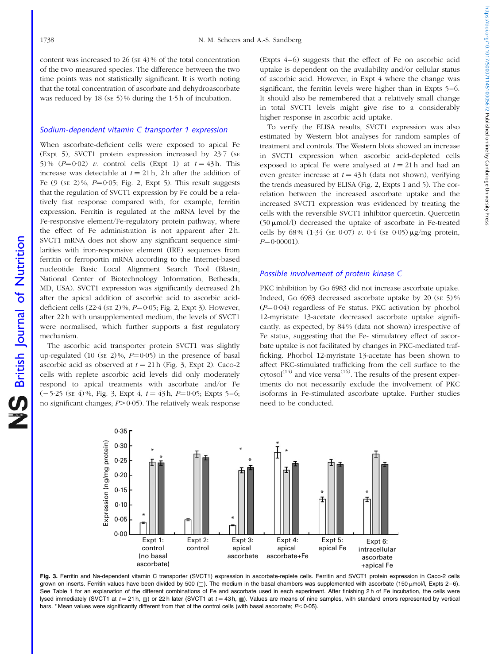British Journal of Nutrition

NS British Journal of Nutrition

<span id="page-4-0"></span>content was increased to 26 ( $SE$  4) % of the total concentration of the two measured species. The difference between the two time points was not statistically significant. It is worth noting that the total concentration of ascorbate and dehydroascorbate was reduced by 18 (se 5)% during the 1.5 h of incubation.

#### Sodium-dependent vitamin C transporter 1 expression

When ascorbate-deficient cells were exposed to apical Fe (Expt 5), SVCT1 protein expression increased by 23·7 (SE 5)%  $(P=0.02)$  v. control cells (Expt 1) at  $t = 43$  h. This increase was detectable at  $t = 21$  h, 2 h after the addition of Fe  $(9$  (se  $2)\%$ ,  $P=0.05$ ; [Fig. 2,](#page-3-0) Expt 5). This result suggests that the regulation of SVCT1 expression by Fe could be a relatively fast response compared with, for example, ferritin expression. Ferritin is regulated at the mRNA level by the Fe-responsive element/Fe-regulatory protein pathway, where the effect of Fe administration is not apparent after 2 h. SVCT1 mRNA does not show any significant sequence similarities with iron-responsive element (IRE) sequences from ferritin or ferroportin mRNA according to the Internet-based nucleotide Basic Local Alignment Search Tool (Blastn; National Center of Biotechnology Information, Bethesda, MD, USA). SVCT1 expression was significantly decreased 2 h after the apical addition of ascorbic acid to ascorbic aciddeficient cells  $(22.4 \text{ (sE 2)}\%, P=0.05; \text{Fig. 2, Expt 3}).$  However, after 22 h with unsupplemented medium, the levels of SVCT1 were normalised, which further supports a fast regulatory mechanism.

The ascorbic acid transporter protein SVCT1 was slightly up-regulated (10 (se 2)%,  $P=0.05$ ) in the presence of basal ascorbic acid as observed at  $t = 21$  h (Fig. 3, Expt 2). Caco-2 cells with replete ascorbic acid levels did only moderately respond to apical treatments with ascorbate and/or Fe  $(-5.25 \text{ (s} \text{E} 4)\%$ , Fig. 3, Expt 4,  $t = 43 \text{ h}$ ,  $P = 0.05$ ; Expts 5–6; no significant changes;  $P > 0.05$ ). The relatively weak response

(Expts 4–6) suggests that the effect of Fe on ascorbic acid uptake is dependent on the availability and/or cellular status of ascorbic acid. However, in Expt 4 where the change was significant, the ferritin levels were higher than in Expts 5–6. It should also be remembered that a relatively small change in total SVCT1 levels might give rise to a considerably higher response in ascorbic acid uptake.

To verify the ELISA results, SVCT1 expression was also estimated by Western blot analyses for random samples of treatment and controls. The Western blots showed an increase in SVCT1 expression when ascorbic acid-depleted cells exposed to apical Fe were analysed at  $t = 21$  h and had an even greater increase at  $t = 43$  h (data not shown), verifying the trends measured by ELISA ([Fig. 2,](#page-3-0) Expts 1 and 5). The correlation between the increased ascorbate uptake and the increased SVCT1 expression was evidenced by treating the cells with the reversible SVCT1 inhibitor quercetin. Quercetin  $(50 \mu \text{mol/l})$  decreased the uptake of ascorbate in Fe-treated cells by 68% (1.34 (SE 0.07) v. 0.4 (SE 0.05)  $\mu$ g/mg protein,  $P=0.00001$ ).

# Possible involvement of protein kinase C

PKC inhibition by Go 6983 did not increase ascorbate uptake. Indeed, Go 6983 decreased ascorbate uptake by 20 (SE 5) %  $(P=0.04)$  regardless of Fe status. PKC activation by phorbol 12-myristate 13-acetate decreased ascorbate uptake significantly, as expected, by 84 % (data not shown) irrespective of Fe status, suggesting that the Fe- stimulatory effect of ascorbate uptake is not facilitated by changes in PKC-mediated trafficking. Phorbol 12-myristate 13-acetate has been shown to affect PKC-stimulated trafficking from the cell surface to the  $cytosol<sup>(14)</sup>$  and vice versa<sup>(16)</sup>. The results of the present experiments do not necessarily exclude the involvement of PKC isoforms in Fe-stimulated ascorbate uptake. Further studies need to be conducted.



Fig. 3. Ferritin and Na-dependent vitamin C transporter (SVCT1) expression in ascorbate-replete cells. Ferritin and SVCT1 protein expression in Caco-2 cells grown on inserts. Ferritin values have been divided by 500 ( $\Box$ ). The medium in the basal chambers was supplemented with ascorbate (150  $\mu$ mol/l, Expts 2–6). See [Table 1](#page-2-0) for an explanation of the different combinations of Fe and ascorbate used in each experiment. After finishing 2 h of Fe incubation, the cells were lysed immediately (SVCT1 at  $t = 21$  h,  $\Box$ ) or 22 h later (SVCT1 at  $t = 43$  h,  $\Box$ ). Values are means of nine samples, with standard errors represented by vertical bars. \* Mean values were significantly different from that of the control cells (with basal ascorbate;  $P<0.05$ ).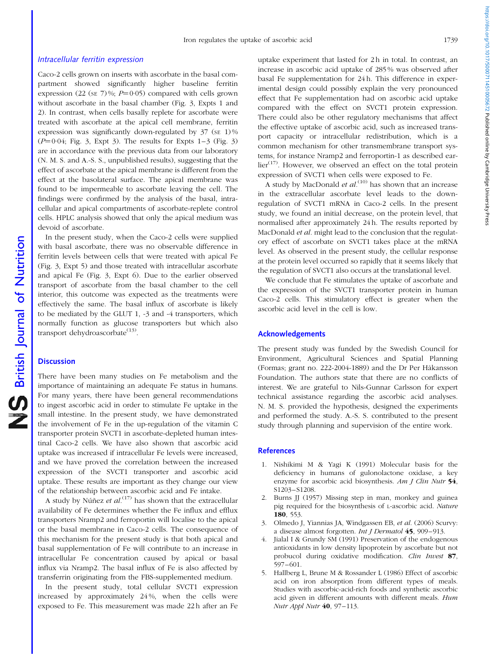#### Intracellular ferritin expression

Caco-2 cells grown on inserts with ascorbate in the basal compartment showed significantly higher baseline ferritin expression (22 (se 7)%;  $P=0.05$ ) compared with cells grown without ascorbate in the basal chamber [\(Fig. 3](#page-4-0), Expts 1 and 2). In contrast, when cells basally replete for ascorbate were treated with ascorbate at the apical cell membrane, ferritin expression was significantly down-regulated by  $37$  (se 1)%  $(P=0.04;$  [Fig. 3](#page-4-0), Expt 3). The results for Expts  $1-3$  ([Fig. 3](#page-4-0)) are in accordance with the previous data from our laboratory (N. M. S. and A.-S. S., unpublished results), suggesting that the effect of ascorbate at the apical membrane is different from the effect at the basolateral surface. The apical membrane was found to be impermeable to ascorbate leaving the cell. The findings were confirmed by the analysis of the basal, intracellular and apical compartments of ascorbate-replete control cells. HPLC analysis showed that only the apical medium was devoid of ascorbate.

In the present study, when the Caco-2 cells were supplied with basal ascorbate, there was no observable difference in ferritin levels between cells that were treated with apical Fe ([Fig. 3](#page-4-0), Expt 5) and those treated with intracellular ascorbate and apical Fe [\(Fig. 3](#page-4-0), Expt 6). Due to the earlier observed transport of ascorbate from the basal chamber to the cell interior, this outcome was expected as the treatments were effectively the same. The basal influx of ascorbate is likely to be mediated by the GLUT 1, -3 and -4 transporters, which normally function as glucose transporters but which also transport dehydroascorbate<sup>(13)</sup>.

# **Discussion**

There have been many studies on Fe metabolism and the importance of maintaining an adequate Fe status in humans. For many years, there have been general recommendations to ingest ascorbic acid in order to stimulate Fe uptake in the small intestine. In the present study, we have demonstrated the involvement of Fe in the up-regulation of the vitamin C transporter protein SVCT1 in ascorbate-depleted human intestinal Caco-2 cells. We have also shown that ascorbic acid uptake was increased if intracellular Fe levels were increased, and we have proved the correlation between the increased expression of the SVCT1 transporter and ascorbic acid uptake. These results are important as they change our view of the relationship between ascorbic acid and Fe intake.

A study by Nú $\hat{n}$ ez *et al.*<sup>(17)</sup> has shown that the extracellular availability of Fe determines whether the Fe influx and efflux transporters Nramp2 and ferroportin will localise to the apical or the basal membrane in Caco-2 cells. The consequence of this mechanism for the present study is that both apical and basal supplementation of Fe will contribute to an increase in intracellular Fe concentration caused by apical or basal influx via Nramp2. The basal influx of Fe is also affected by transferrin originating from the FBS-supplemented medium.

In the present study, total cellular SVCT1 expression increased by approximately 24 %, when the cells were exposed to Fe. This measurement was made 22 h after an Fe

uptake experiment that lasted for 2 h in total. In contrast, an increase in ascorbic acid uptake of 285 % was observed after basal Fe supplementation for 24 h. This difference in experimental design could possibly explain the very pronounced effect that Fe supplementation had on ascorbic acid uptake compared with the effect on SVCT1 protein expression. There could also be other regulatory mechanisms that affect the effective uptake of ascorbic acid, such as increased transport capacity or intracellular redistribution, which is a common mechanism for other transmembrane transport systems, for instance Nramp2 and ferroportin-1 as described earlier<sup>(17)</sup>. However, we observed an effect on the total protein expression of SVCT1 when cells were exposed to Fe.

A study by MacDonald et  $al$ .<sup>(10)</sup> has shown that an increase in the extracellular ascorbate level leads to the downregulation of SVCT1 mRNA in Caco-2 cells. In the present study, we found an initial decrease, on the protein level, that normalised after approximately 24 h. The results reported by MacDonald *et al.* might lead to the conclusion that the regulatory effect of ascorbate on SVCT1 takes place at the mRNA level. As observed in the present study, the cellular response at the protein level occurred so rapidly that it seems likely that the regulation of SVCT1 also occurs at the translational level.

We conclude that Fe stimulates the uptake of ascorbate and the expression of the SVCT1 transporter protein in human Caco-2 cells. This stimulatory effect is greater when the ascorbic acid level in the cell is low.

## Acknowledgements

The present study was funded by the Swedish Council for Environment, Agricultural Sciences and Spatial Planning (Formas; grant no. 222-2004-1889) and the Dr Per Håkansson Foundation. The authors state that there are no conflicts of interest. We are grateful to Nils-Gunnar Carlsson for expert technical assistance regarding the ascorbic acid analyses. N. M. S. provided the hypothesis, designed the experiments and performed the study. A.-S. S. contributed to the present study through planning and supervision of the entire work.

# **References**

- 1. Nishikimi M & Yagi K (1991) Molecular basis for the deficiency in humans of gulonolactone oxidase, a key enzyme for ascorbic acid biosynthesis. Am J Clin Nutr 54, S1203–S1208.
- 2. Burns JJ (1957) Missing step in man, monkey and guinea pig required for the biosynthesis of L-ascorbic acid. Nature 180, 553.
- 3. Olmedo J, Yiannias JA, Windgassen EB, et al. (2006) Scurvy: a disease almost forgotten. Int J Dermatol 45, 909–913.
- 4. Jialal I & Grundy SM (1991) Preservation of the endogenous antioxidants in low density lipoprotein by ascorbate but not probucol during oxidative modification. Clin Invest 87, 597–601.
- 5. Hallberg L, Brune M & Rossander L (1986) Effect of ascorbic acid on iron absorption from different types of meals. Studies with ascorbic-acid-rich foods and synthetic ascorbic acid given in different amounts with different meals. Hum Nutr Appl Nutr 40, 97–113.

https://doi.org/10.1017/S0007114510005672 Published online by Cambridge University Press https://doi.org/10.1017/S0007114510005672 Published online by Cambridge University Press